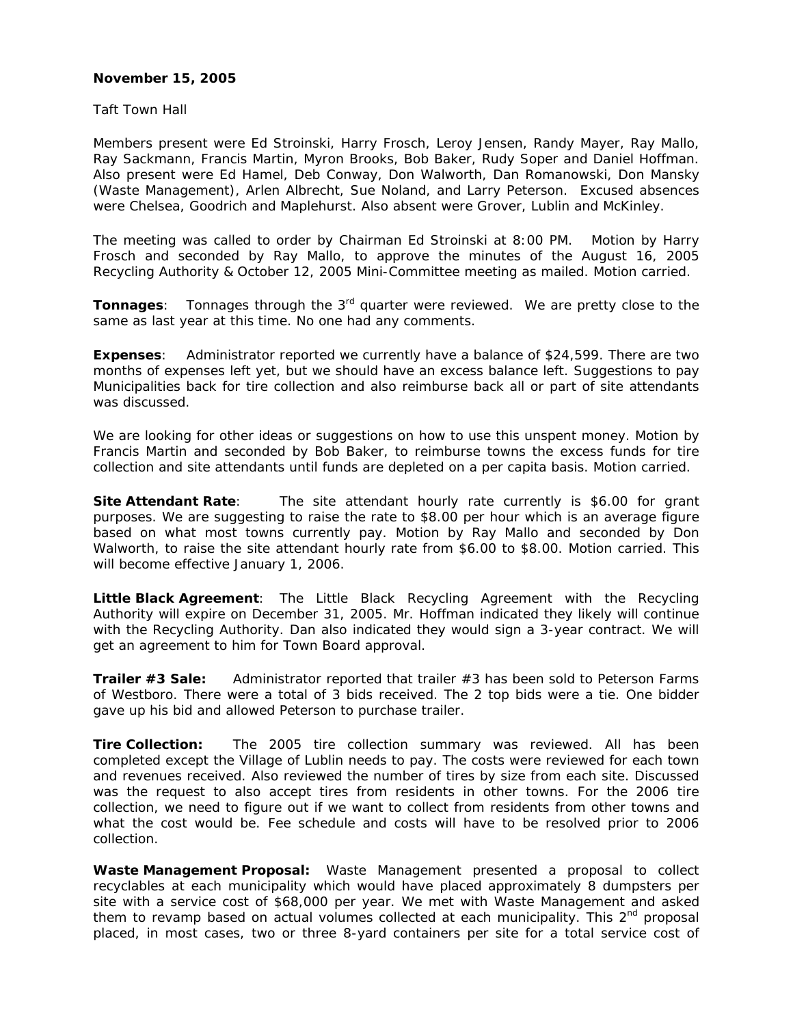## **November 15, 2005**

Taft Town Hall

Members present were Ed Stroinski, Harry Frosch, Leroy Jensen, Randy Mayer, Ray Mallo, Ray Sackmann, Francis Martin, Myron Brooks, Bob Baker, Rudy Soper and Daniel Hoffman. Also present were Ed Hamel, Deb Conway, Don Walworth, Dan Romanowski, Don Mansky (Waste Management), Arlen Albrecht, Sue Noland, and Larry Peterson. Excused absences were Chelsea, Goodrich and Maplehurst. Also absent were Grover, Lublin and McKinley.

The meeting was called to order by Chairman Ed Stroinski at 8:00 PM. Motion by Harry Frosch and seconded by Ray Mallo, to approve the minutes of the August 16, 2005 Recycling Authority & October 12, 2005 Mini-Committee meeting as mailed. Motion carried.

**Tonnages**: Tonnages through the 3<sup>rd</sup> quarter were reviewed. We are pretty close to the same as last year at this time. No one had any comments.

**Expenses**: Administrator reported we currently have a balance of \$24,599. There are two months of expenses left yet, but we should have an excess balance left. Suggestions to pay Municipalities back for tire collection and also reimburse back all or part of site attendants was discussed.

We are looking for other ideas or suggestions on how to use this unspent money. Motion by Francis Martin and seconded by Bob Baker, to reimburse towns the excess funds for tire collection and site attendants until funds are depleted on a per capita basis. Motion carried.

**Site Attendant Rate:** The site attendant hourly rate currently is \$6.00 for grant purposes. We are suggesting to raise the rate to \$8.00 per hour which is an average figure based on what most towns currently pay. Motion by Ray Mallo and seconded by Don Walworth, to raise the site attendant hourly rate from \$6.00 to \$8.00. Motion carried. This will become effective January 1, 2006.

**Little Black Agreement**: The Little Black Recycling Agreement with the Recycling Authority will expire on December 31, 2005. Mr. Hoffman indicated they likely will continue with the Recycling Authority. Dan also indicated they would sign a 3-year contract. We will get an agreement to him for Town Board approval.

**Trailer #3 Sale:** Administrator reported that trailer #3 has been sold to Peterson Farms of Westboro. There were a total of 3 bids received. The 2 top bids were a tie. One bidder gave up his bid and allowed Peterson to purchase trailer.

**Tire Collection:** The 2005 tire collection summary was reviewed. All has been completed except the Village of Lublin needs to pay. The costs were reviewed for each town and revenues received. Also reviewed the number of tires by size from each site. Discussed was the request to also accept tires from residents in other towns. For the 2006 tire collection, we need to figure out if we want to collect from residents from other towns and what the cost would be. Fee schedule and costs will have to be resolved prior to 2006 collection.

**Waste Management Proposal:** Waste Management presented a proposal to collect recyclables at each municipality which would have placed approximately 8 dumpsters per site with a service cost of \$68,000 per year. We met with Waste Management and asked them to revamp based on actual volumes collected at each municipality. This  $2^{nd}$  proposal placed, in most cases, two or three 8-yard containers per site for a total service cost of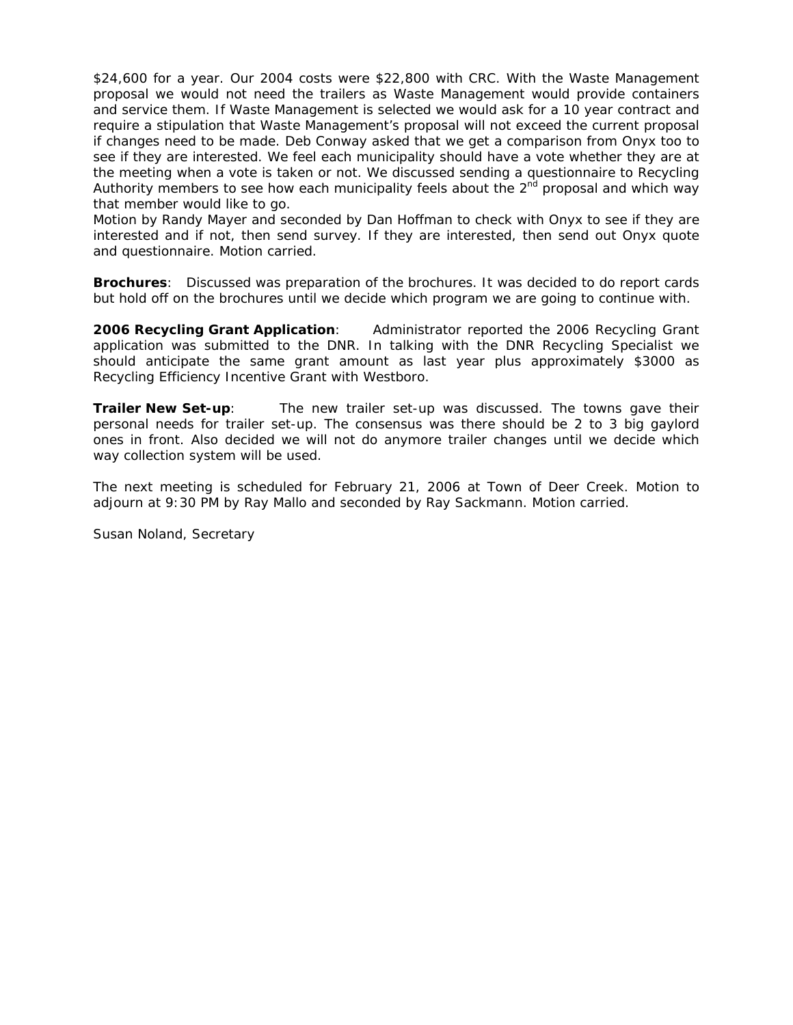\$24,600 for a year. Our 2004 costs were \$22,800 with CRC. With the Waste Management proposal we would not need the trailers as Waste Management would provide containers and service them. If Waste Management is selected we would ask for a 10 year contract and require a stipulation that Waste Management's proposal will not exceed the current proposal if changes need to be made. Deb Conway asked that we get a comparison from Onyx too to see if they are interested. We feel each municipality should have a vote whether they are at the meeting when a vote is taken or not. We discussed sending a questionnaire to Recycling Authority members to see how each municipality feels about the 2<sup>nd</sup> proposal and which way that member would like to go.

Motion by Randy Mayer and seconded by Dan Hoffman to check with Onyx to see if they are interested and if not, then send survey. If they are interested, then send out Onyx quote and questionnaire. Motion carried.

**Brochures**: Discussed was preparation of the brochures. It was decided to do report cards but hold off on the brochures until we decide which program we are going to continue with.

**2006 Recycling Grant Application**: Administrator reported the 2006 Recycling Grant application was submitted to the DNR. In talking with the DNR Recycling Specialist we should anticipate the same grant amount as last year plus approximately \$3000 as Recycling Efficiency Incentive Grant with Westboro.

**Trailer New Set-up**: The new trailer set-up was discussed. The towns gave their personal needs for trailer set-up. The consensus was there should be 2 to 3 big gaylord ones in front. Also decided we will not do anymore trailer changes until we decide which way collection system will be used.

The next meeting is scheduled for February 21, 2006 at Town of Deer Creek. Motion to adjourn at 9:30 PM by Ray Mallo and seconded by Ray Sackmann. Motion carried.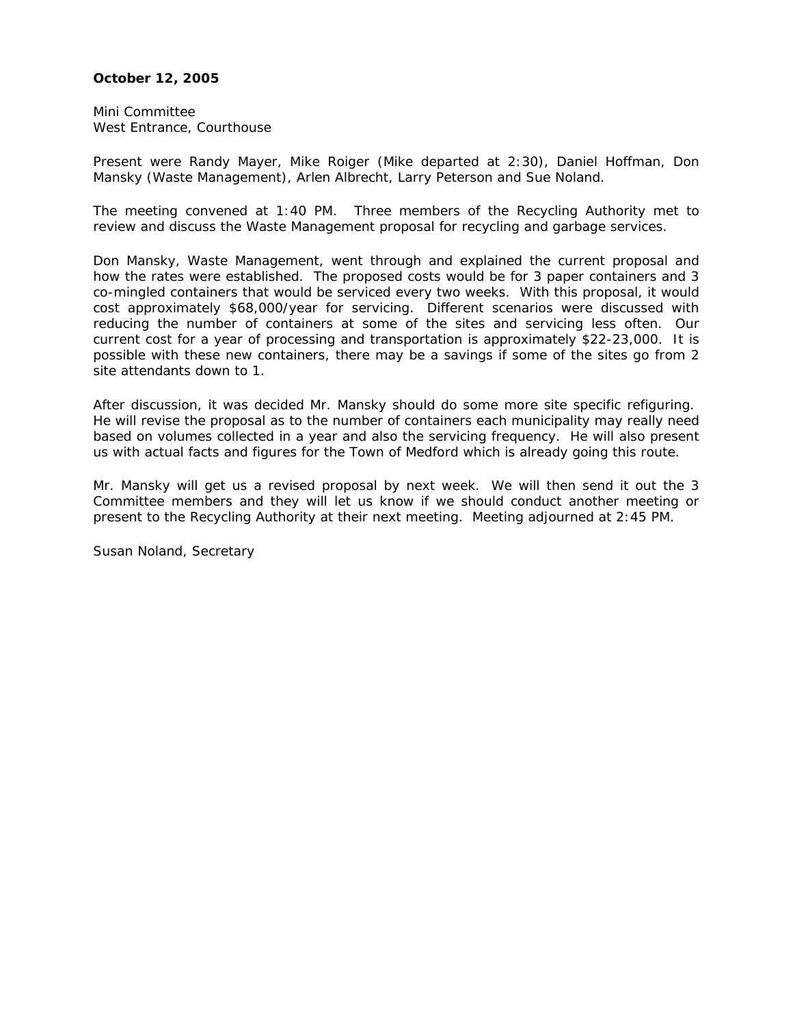## **October 12, 2005**

Mini Committee West Entrance, Courthouse

Present were Randy Mayer, Mike Roiger (Mike departed at 2:30), Daniel Hoffman, Don Mansky (Waste Management), Arlen Albrecht, Larry Peterson and Sue Noland.

The meeting convened at 1:40 PM. Three members of the Recycling Authority met to review and discuss the Waste Management proposal for recycling and garbage services.

Don Mansky, Waste Management, went through and explained the current proposal and how the rates were established. The proposed costs would be for 3 paper containers and 3 co-mingled containers that would be serviced every two weeks. With this proposal, it would cost approximately \$68,000/year for servicing. Different scenarios were discussed with reducing the number of containers at some of the sites and servicing less often. Our current cost for a year of processing and transportation is approximately \$22-23,000. It is possible with these new containers, there may be a savings if some of the sites go from 2 site attendants down to 1.

After discussion, it was decided Mr. Mansky should do some more site specific refiguring. He will revise the proposal as to the number of containers each municipality may really need based on volumes collected in a year and also the servicing frequency. He will also present us with actual facts and figures for the Town of Medford which is already going this route.

Mr. Mansky will get us a revised proposal by next week. We will then send it out the 3 Committee members and they will let us know if we should conduct another meeting or present to the Recycling Authority at their next meeting. Meeting adjourned at 2:45 PM.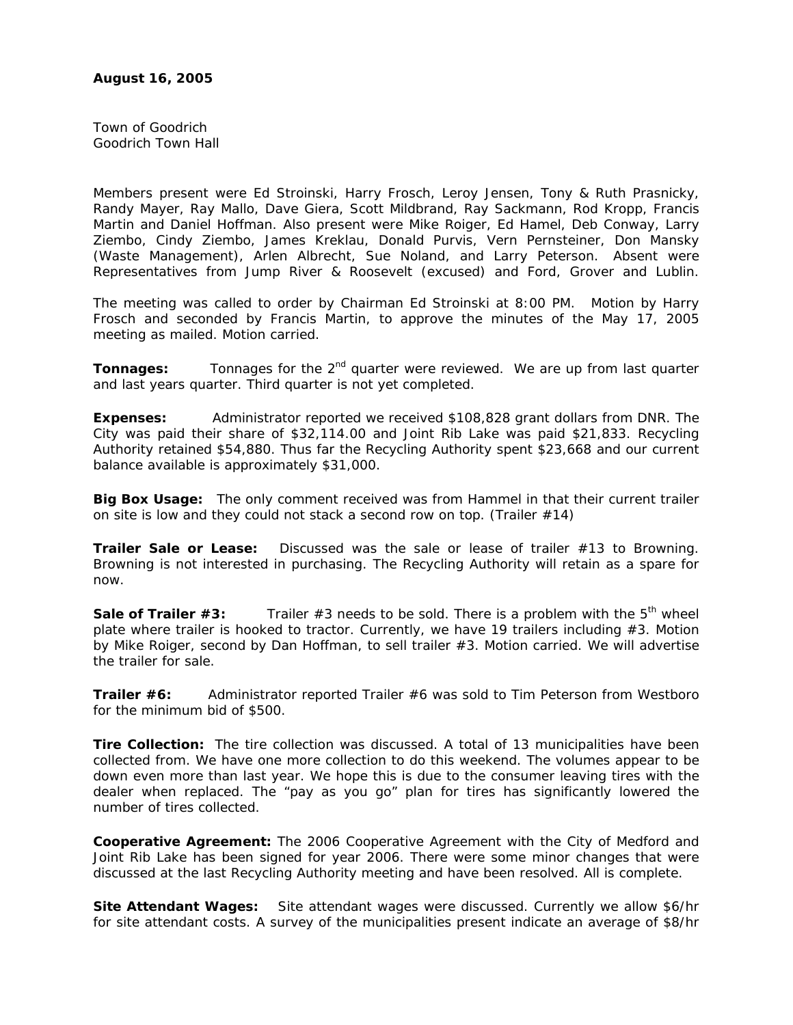Town of Goodrich Goodrich Town Hall

Members present were Ed Stroinski, Harry Frosch, Leroy Jensen, Tony & Ruth Prasnicky, Randy Mayer, Ray Mallo, Dave Giera, Scott Mildbrand, Ray Sackmann, Rod Kropp, Francis Martin and Daniel Hoffman. Also present were Mike Roiger, Ed Hamel, Deb Conway, Larry Ziembo, Cindy Ziembo, James Kreklau, Donald Purvis, Vern Pernsteiner, Don Mansky (Waste Management), Arlen Albrecht, Sue Noland, and Larry Peterson. Absent were Representatives from Jump River & Roosevelt (excused) and Ford, Grover and Lublin.

The meeting was called to order by Chairman Ed Stroinski at 8:00 PM. Motion by Harry Frosch and seconded by Francis Martin, to approve the minutes of the May 17, 2005 meeting as mailed. Motion carried.

**Tonnages:** Tonnages for the 2<sup>nd</sup> quarter were reviewed. We are up from last quarter and last years quarter. Third quarter is not yet completed.

**Expenses:** Administrator reported we received \$108,828 grant dollars from DNR. The City was paid their share of \$32,114.00 and Joint Rib Lake was paid \$21,833. Recycling Authority retained \$54,880. Thus far the Recycling Authority spent \$23,668 and our current balance available is approximately \$31,000.

**Big Box Usage:** The only comment received was from Hammel in that their current trailer on site is low and they could not stack a second row on top. (Trailer #14)

**Trailer Sale or Lease:** Discussed was the sale or lease of trailer #13 to Browning. Browning is not interested in purchasing. The Recycling Authority will retain as a spare for now.

**Sale of Trailer #3:** Trailer #3 needs to be sold. There is a problem with the 5<sup>th</sup> wheel plate where trailer is hooked to tractor. Currently, we have 19 trailers including  $#3$ . Motion by Mike Roiger, second by Dan Hoffman, to sell trailer #3. Motion carried. We will advertise the trailer for sale.

**Trailer #6:** Administrator reported Trailer #6 was sold to Tim Peterson from Westboro for the minimum bid of \$500.

**Tire Collection:** The tire collection was discussed. A total of 13 municipalities have been collected from. We have one more collection to do this weekend. The volumes appear to be down even more than last year. We hope this is due to the consumer leaving tires with the dealer when replaced. The "pay as you go" plan for tires has significantly lowered the number of tires collected.

**Cooperative Agreement:** The 2006 Cooperative Agreement with the City of Medford and Joint Rib Lake has been signed for year 2006. There were some minor changes that were discussed at the last Recycling Authority meeting and have been resolved. All is complete.

**Site Attendant Wages:** Site attendant wages were discussed. Currently we allow \$6/hr for site attendant costs. A survey of the municipalities present indicate an average of \$8/hr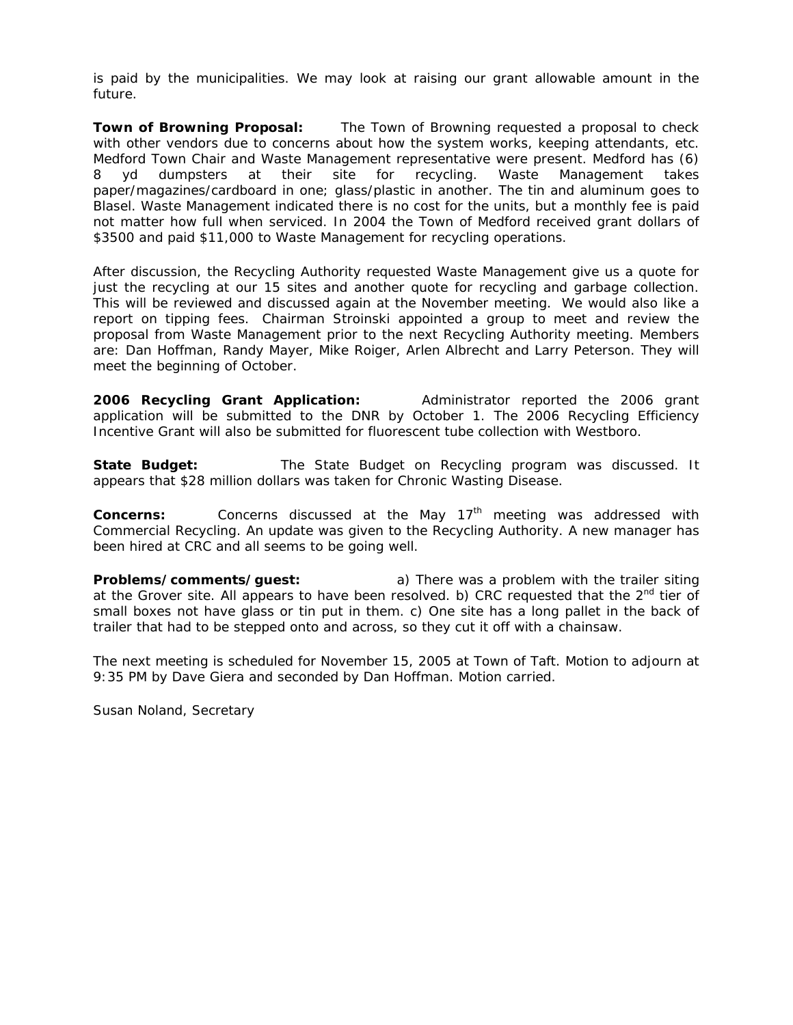is paid by the municipalities. We may look at raising our grant allowable amount in the future.

**Town of Browning Proposal:** The Town of Browning requested a proposal to check with other vendors due to concerns about how the system works, keeping attendants, etc. Medford Town Chair and Waste Management representative were present. Medford has (6) 8 yd dumpsters at their site for recycling. Waste Management takes paper/magazines/cardboard in one; glass/plastic in another. The tin and aluminum goes to Blasel. Waste Management indicated there is no cost for the units, but a monthly fee is paid not matter how full when serviced. In 2004 the Town of Medford received grant dollars of \$3500 and paid \$11,000 to Waste Management for recycling operations.

After discussion, the Recycling Authority requested Waste Management give us a quote for just the recycling at our 15 sites and another quote for recycling and garbage collection. This will be reviewed and discussed again at the November meeting. We would also like a report on tipping fees. Chairman Stroinski appointed a group to meet and review the proposal from Waste Management prior to the next Recycling Authority meeting. Members are: Dan Hoffman, Randy Mayer, Mike Roiger, Arlen Albrecht and Larry Peterson. They will meet the beginning of October.

**2006 Recycling Grant Application:** Administrator reported the 2006 grant application will be submitted to the DNR by October 1. The 2006 Recycling Efficiency Incentive Grant will also be submitted for fluorescent tube collection with Westboro.

**State Budget:** The State Budget on Recycling program was discussed. It appears that \$28 million dollars was taken for Chronic Wasting Disease.

**Concerns:** Concerns discussed at the May 17<sup>th</sup> meeting was addressed with Commercial Recycling. An update was given to the Recycling Authority. A new manager has been hired at CRC and all seems to be going well.

**Problems/comments/guest:** a) There was a problem with the trailer siting at the Grover site. All appears to have been resolved. b) CRC requested that the  $2<sup>nd</sup>$  tier of small boxes not have glass or tin put in them. c) One site has a long pallet in the back of trailer that had to be stepped onto and across, so they cut it off with a chainsaw.

The next meeting is scheduled for November 15, 2005 at Town of Taft. Motion to adjourn at 9:35 PM by Dave Giera and seconded by Dan Hoffman. Motion carried.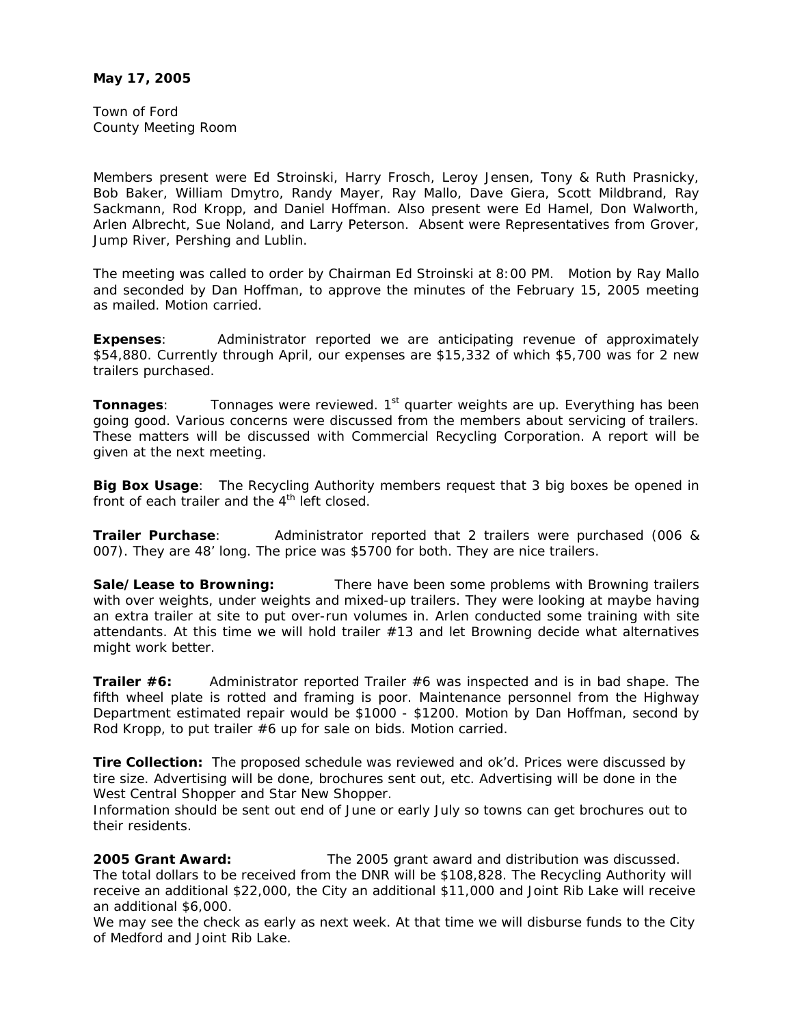Town of Ford County Meeting Room

Members present were Ed Stroinski, Harry Frosch, Leroy Jensen, Tony & Ruth Prasnicky, Bob Baker, William Dmytro, Randy Mayer, Ray Mallo, Dave Giera, Scott Mildbrand, Ray Sackmann, Rod Kropp, and Daniel Hoffman. Also present were Ed Hamel, Don Walworth, Arlen Albrecht, Sue Noland, and Larry Peterson. Absent were Representatives from Grover, Jump River, Pershing and Lublin.

The meeting was called to order by Chairman Ed Stroinski at 8:00 PM. Motion by Ray Mallo and seconded by Dan Hoffman, to approve the minutes of the February 15, 2005 meeting as mailed. Motion carried.

**Expenses**: Administrator reported we are anticipating revenue of approximately \$54,880. Currently through April, our expenses are \$15,332 of which \$5,700 was for 2 new trailers purchased.

**Tonnages:** Tonnages were reviewed. 1<sup>st</sup> quarter weights are up. Everything has been going good. Various concerns were discussed from the members about servicing of trailers. These matters will be discussed with Commercial Recycling Corporation. A report will be given at the next meeting.

**Big Box Usage**: The Recycling Authority members request that 3 big boxes be opened in front of each trailer and the  $4<sup>th</sup>$  left closed.

**Trailer Purchase**: Administrator reported that 2 trailers were purchased (006 & 007). They are 48' long. The price was \$5700 for both. They are nice trailers.

**Sale/Lease to Browning:** There have been some problems with Browning trailers with over weights, under weights and mixed-up trailers. They were looking at maybe having an extra trailer at site to put over-run volumes in. Arlen conducted some training with site attendants. At this time we will hold trailer #13 and let Browning decide what alternatives might work better.

**Trailer #6:** Administrator reported Trailer #6 was inspected and is in bad shape. The fifth wheel plate is rotted and framing is poor. Maintenance personnel from the Highway Department estimated repair would be \$1000 - \$1200. Motion by Dan Hoffman, second by Rod Kropp, to put trailer #6 up for sale on bids. Motion carried.

**Tire Collection:** The proposed schedule was reviewed and ok'd. Prices were discussed by tire size. Advertising will be done, brochures sent out, etc. Advertising will be done in the West Central Shopper and Star New Shopper.

Information should be sent out end of June or early July so towns can get brochures out to their residents.

**2005 Grant Award:** The 2005 grant award and distribution was discussed. The total dollars to be received from the DNR will be \$108,828. The Recycling Authority will receive an additional \$22,000, the City an additional \$11,000 and Joint Rib Lake will receive an additional \$6,000.

We may see the check as early as next week. At that time we will disburse funds to the City of Medford and Joint Rib Lake.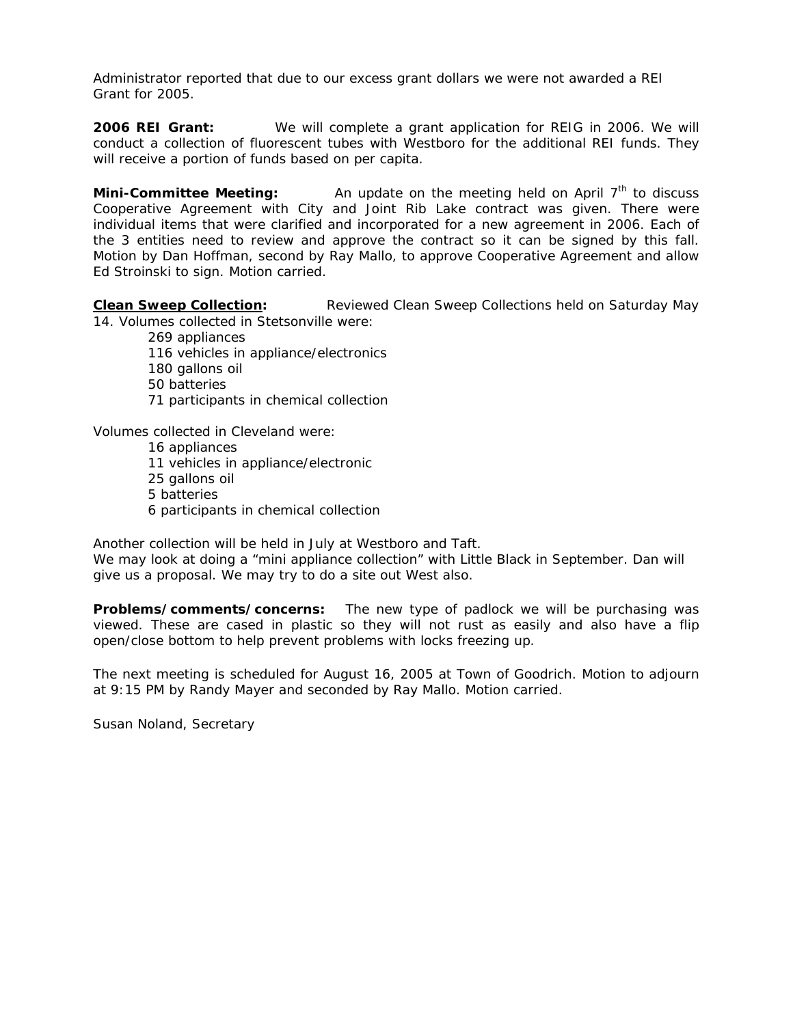Administrator reported that due to our excess grant dollars we were not awarded a REI Grant for 2005.

**2006 REI Grant:** We will complete a grant application for REIG in 2006. We will conduct a collection of fluorescent tubes with Westboro for the additional REI funds. They will receive a portion of funds based on per capita.

**Mini-Committee Meeting:** An update on the meeting held on April 7<sup>th</sup> to discuss Cooperative Agreement with City and Joint Rib Lake contract was given. There were individual items that were clarified and incorporated for a new agreement in 2006. Each of the 3 entities need to review and approve the contract so it can be signed by this fall. Motion by Dan Hoffman, second by Ray Mallo, to approve Cooperative Agreement and allow Ed Stroinski to sign. Motion carried.

**Clean Sweep Collection:** Reviewed Clean Sweep Collections held on Saturday May 14. Volumes collected in Stetsonville were:

 269 appliances 116 vehicles in appliance/electronics 180 gallons oil 50 batteries 71 participants in chemical collection

Volumes collected in Cleveland were:

 16 appliances 11 vehicles in appliance/electronic 25 gallons oil 5 batteries 6 participants in chemical collection

Another collection will be held in July at Westboro and Taft.

We may look at doing a "mini appliance collection" with Little Black in September. Dan will give us a proposal. We may try to do a site out West also.

**Problems/comments/concerns:** The new type of padlock we will be purchasing was viewed. These are cased in plastic so they will not rust as easily and also have a flip open/close bottom to help prevent problems with locks freezing up.

The next meeting is scheduled for August 16, 2005 at Town of Goodrich. Motion to adjourn at 9:15 PM by Randy Mayer and seconded by Ray Mallo. Motion carried.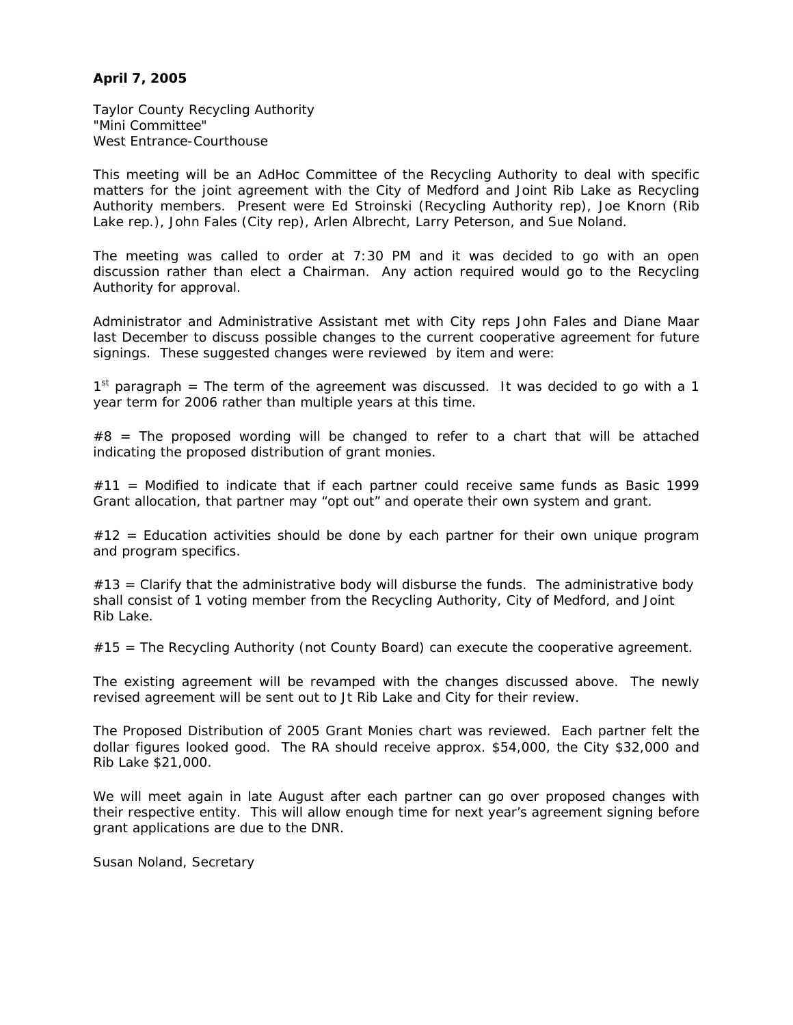## **April 7, 2005**

Taylor County Recycling Authority "Mini Committee" West Entrance-Courthouse

This meeting will be an AdHoc Committee of the Recycling Authority to deal with specific matters for the joint agreement with the City of Medford and Joint Rib Lake as Recycling Authority members. Present were Ed Stroinski (Recycling Authority rep), Joe Knorn (Rib Lake rep.), John Fales (City rep), Arlen Albrecht, Larry Peterson, and Sue Noland.

The meeting was called to order at 7:30 PM and it was decided to go with an open discussion rather than elect a Chairman. Any action required would go to the Recycling Authority for approval.

Administrator and Administrative Assistant met with City reps John Fales and Diane Maar last December to discuss possible changes to the current cooperative agreement for future signings. These suggested changes were reviewed by item and were:

 $1<sup>st</sup>$  paragraph = The term of the agreement was discussed. It was decided to go with a 1 year term for 2006 rather than multiple years at this time.

 $#8$  = The proposed wording will be changed to refer to a chart that will be attached indicating the proposed distribution of grant monies.

 $#11$  = Modified to indicate that if each partner could receive same funds as Basic 1999 Grant allocation, that partner may "opt out" and operate their own system and grant.

 $#12 =$  Education activities should be done by each partner for their own unique program and program specifics.

 $#13 =$  Clarify that the administrative body will disburse the funds. The administrative body shall consist of 1 voting member from the Recycling Authority, City of Medford, and Joint Rib Lake.

 $#15$  = The Recycling Authority (not County Board) can execute the cooperative agreement.

The existing agreement will be revamped with the changes discussed above. The newly revised agreement will be sent out to Jt Rib Lake and City for their review.

The Proposed Distribution of 2005 Grant Monies chart was reviewed. Each partner felt the dollar figures looked good. The RA should receive approx. \$54,000, the City \$32,000 and Rib Lake \$21,000.

We will meet again in late August after each partner can go over proposed changes with their respective entity. This will allow enough time for next year's agreement signing before grant applications are due to the DNR.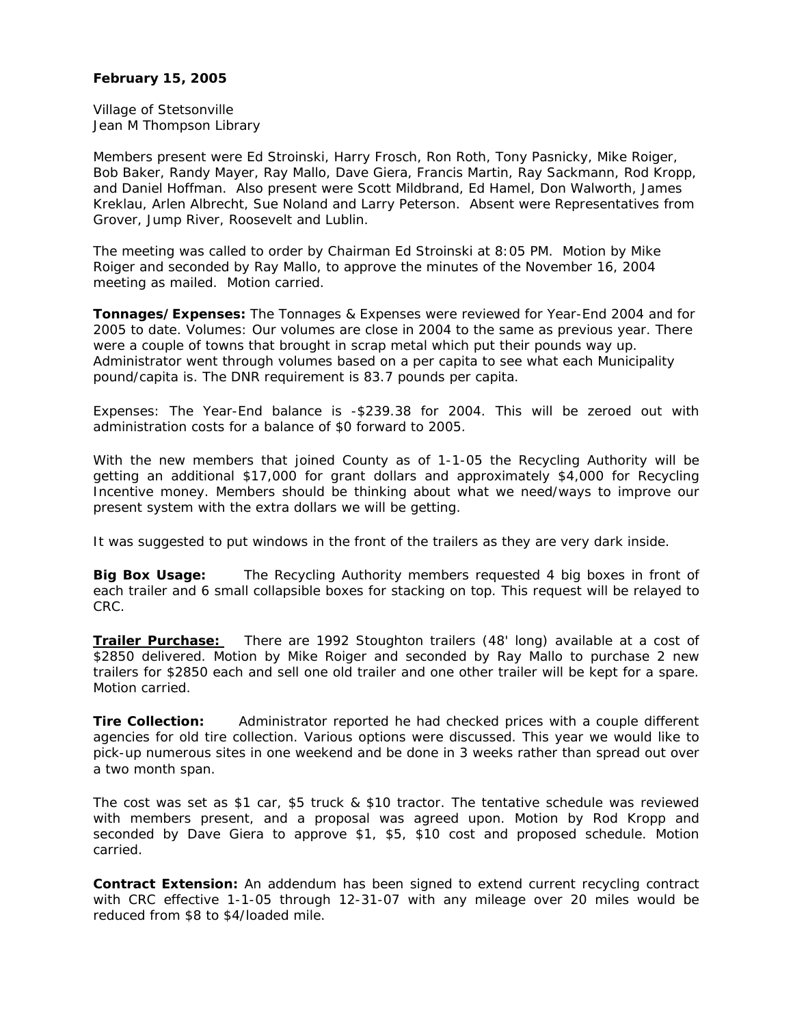## **February 15, 2005**

Village of Stetsonville Jean M Thompson Library

Members present were Ed Stroinski, Harry Frosch, Ron Roth, Tony Pasnicky, Mike Roiger, Bob Baker, Randy Mayer, Ray Mallo, Dave Giera, Francis Martin, Ray Sackmann, Rod Kropp, and Daniel Hoffman. Also present were Scott Mildbrand, Ed Hamel, Don Walworth, James Kreklau, Arlen Albrecht, Sue Noland and Larry Peterson. Absent were Representatives from Grover, Jump River, Roosevelt and Lublin.

The meeting was called to order by Chairman Ed Stroinski at 8:05 PM. Motion by Mike Roiger and seconded by Ray Mallo, to approve the minutes of the November 16, 2004 meeting as mailed. Motion carried.

**Tonnages/Expenses:** The Tonnages & Expenses were reviewed for Year-End 2004 and for 2005 to date. Volumes: Our volumes are close in 2004 to the same as previous year. There were a couple of towns that brought in scrap metal which put their pounds way up. Administrator went through volumes based on a per capita to see what each Municipality pound/capita is. The DNR requirement is 83.7 pounds per capita.

Expenses: The Year-End balance is -\$239.38 for 2004. This will be zeroed out with administration costs for a balance of \$0 forward to 2005.

With the new members that joined County as of 1-1-05 the Recycling Authority will be getting an additional \$17,000 for grant dollars and approximately \$4,000 for Recycling Incentive money. Members should be thinking about what we need/ways to improve our present system with the extra dollars we will be getting.

It was suggested to put windows in the front of the trailers as they are very dark inside.

**Big Box Usage:** The Recycling Authority members requested 4 big boxes in front of each trailer and 6 small collapsible boxes for stacking on top. This request will be relayed to CRC.

**Trailer Purchase:** There are 1992 Stoughton trailers (48' long) available at a cost of \$2850 delivered. Motion by Mike Roiger and seconded by Ray Mallo to purchase 2 new trailers for \$2850 each and sell one old trailer and one other trailer will be kept for a spare. Motion carried.

**Tire Collection:** Administrator reported he had checked prices with a couple different agencies for old tire collection. Various options were discussed. This year we would like to pick-up numerous sites in one weekend and be done in 3 weeks rather than spread out over a two month span.

The cost was set as \$1 car, \$5 truck & \$10 tractor. The tentative schedule was reviewed with members present, and a proposal was agreed upon. Motion by Rod Kropp and seconded by Dave Giera to approve \$1, \$5, \$10 cost and proposed schedule. Motion carried.

**Contract Extension:** An addendum has been signed to extend current recycling contract with CRC effective 1-1-05 through 12-31-07 with any mileage over 20 miles would be reduced from \$8 to \$4/loaded mile.